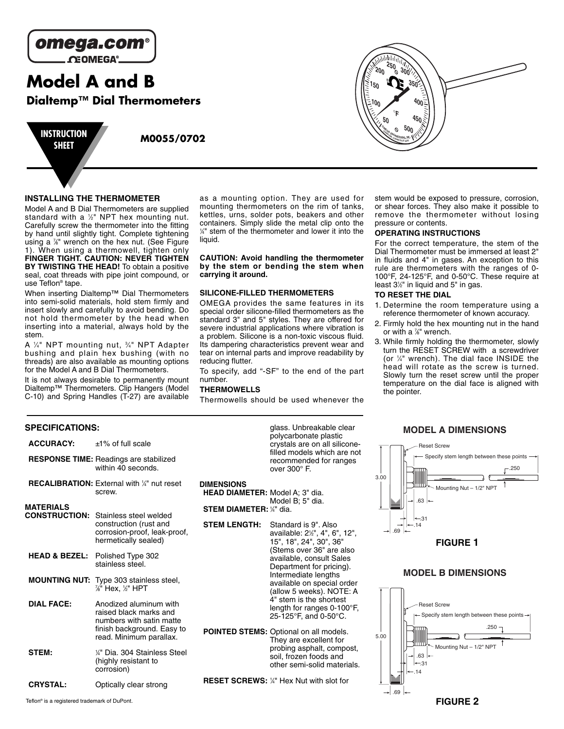

# **Model A and B**

**Dialtemp™ Dial Thermometers**



#### **INSTALLING THE THERMOMETER**

Model A and B Dial Thermometers are supplied standard with a 1 ⁄2" NPT hex mounting nut. Carefully screw the thermometer into the fitting by hand until slightly tight. Complete tightening using a <sup>7/8</sup>" wrench on the hex nut. (See Figure 1). When using a thermowell, tighten only **FINGER TIGHT. CAUTION: NEVER TIGHTEN BY TWISTING THE HEAD!** To obtain a positive seal, coat threads with pipe joint compound, or use Teflon® tape.

When inserting Dialtemp™ Dial Thermometers into semi-solid materials, hold stem firmly and insert slowly and carefully to avoid bending. Do not hold thermometer by the head when inserting into a material, always hold by the stem.

A <sup>1</sup> ⁄4" NPT mounting nut, 3 ⁄4" NPT Adapter bushing and plain hex bushing (with no threads) are also available as mounting options for the Model A and B Dial Thermometers.

It is not always desirable to permanently mount Dialtemp™ Thermometers. Clip Hangers (Model C-10) and Spring Handles (T-27) are available

as a mounting option. They are used for mounting thermometers on the rim of tanks, kettles, urns, solder pots, beakers and other containers. Simply slide the metal clip onto the 1 ⁄4" stem of the thermometer and lower it into the liquid.

**CAUTION: Avoid handling the thermometer by the stem or bending the stem when carrying it around.**

#### **SILICONE-FILLED THERMOMETERS**

OMEGA provides the same features in its special order silicone-filled thermometers as the standard 3" and 5" styles. They are offered for severe industrial applications where vibration is a problem. Silicone is a non-toxic viscous fluid. Its dampering characteristics prevent wear and tear on internal parts and improve readability by reducing flutter.

To specify, add "-SF" to the end of the part number.

### **THERMOWELLS**

Thermowells should be used whenever the

glass. Unbreakable clear

## **SPECIFICATIONS:**

|                   |                                                                                |                                                             | polycarbonate plastic                                                                                         |  |
|-------------------|--------------------------------------------------------------------------------|-------------------------------------------------------------|---------------------------------------------------------------------------------------------------------------|--|
| <b>ACCURACY:</b>  | $±1\%$ of full scale                                                           |                                                             | crystals are on all silicone-<br>filled models which are not<br>recommended for ranges<br>over $300^\circ$ F. |  |
|                   | <b>RESPONSE TIME:</b> Readings are stabilized<br>within 40 seconds.            |                                                             |                                                                                                               |  |
|                   | <b>RECALIBRATION:</b> External with 1/4" nut reset<br>screw.                   | <b>DIMENSIONS</b><br><b>HEAD DIAMETER:</b> Model A; 3" dia. |                                                                                                               |  |
| <b>MATERIALS</b>  | <b>CONSTRUCTION:</b> Stainless steel welded                                    | <b>STEM DIAMETER: 1/4" dia.</b>                             | Model B: 5" dia.                                                                                              |  |
|                   | construction (rust and<br>corrosion-proof, leak-proof,<br>hermetically sealed) | <b>STEM LENGTH:</b>                                         | Standard is 9". Also<br>available: 2 <sup>1/2</sup> ", 4", 6", 12",<br>15", 18", 24", 30", 36"                |  |
|                   | <b>HEAD &amp; BEZEL:</b> Polished Type 302<br>stainless steel.                 |                                                             | (Stems over 36" are also<br>available, consult Sales<br>Department for pricing).                              |  |
|                   | <b>MOUNTING NUT:</b> Type 303 stainless steel,<br>%" Hex, 1/2" HPT             |                                                             | Intermediate lengths<br>available on special order<br>(allow 5 weeks). NOTE: A                                |  |
| <b>DIAL FACE:</b> | Anodized aluminum with<br>raised black marks and<br>numbers with satin matte   |                                                             | 4" stem is the shortest<br>length for ranges $0-100^{\circ}F$ ,<br>25-125°F, and 0-50°C.                      |  |
|                   | finish background. Easy to<br>read. Minimum parallax.                          |                                                             | POINTED STEMS: Optional on all models.<br>They are excellent for                                              |  |
| STEM:             | 1/4" Dia. 304 Stainless Steel<br>(highly resistant to<br>corrosion)            |                                                             | probing asphalt, compost,<br>soil, frozen foods and<br>other semi-solid materials.                            |  |
| <b>CRYSTAL:</b>   | Optically clear strong                                                         |                                                             | <b>RESET SCREWS: 1/4" Hex Nut with slot for</b>                                                               |  |

**50 100 150 200 <sup>250</sup> <sup>300</sup>** ® **350 400 450 500 <sup>O</sup>MEG<sup>A</sup> <sup>E</sup>NGINEERING, <sup>I</sup>NC.** °**F S S CONEECNC**<sub>*N*</sub><sup>*D*</sup>

> stem would be exposed to pressure, corrosion, or shear forces. They also make it possible to remove the thermometer without losing pressure or contents.

#### **OPERATING INSTRUCTIONS**

For the correct temperature, the stem of the Dial Thermometer must be immersed at least 2" in fluids and 4" in gases. An exception to this rule are thermometers with the ranges of 0-100°F, 24-125°F, and 0-50°C. These require at least 3<sup>1/2</sup> in liquid and 5" in gas.

#### **TO RESET THE DIAL**

- 1. Determine the room temperature using a reference thermometer of known accuracy.
- 2. Firmly hold the hex mounting nut in the hand or with a 7 ⁄8" wrench.
- 3. While firmly holding the thermometer, slowly turn the RESET SCREW with a screwdriver (or 1 ⁄4" wrench). The dial face INSIDE the head will rotate as the screw is turned. Slowly turn the reset screw until the proper temperature on the dial face is aligned with the pointer.

## **MODEL A DIMENSIONS**



**FIGURE 1**

# **MODEL B DIMENSIONS**